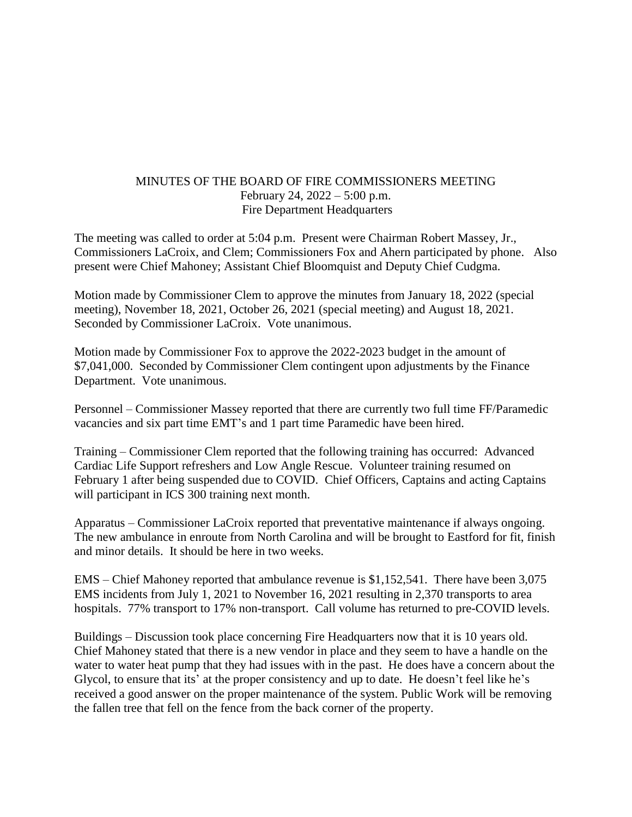## MINUTES OF THE BOARD OF FIRE COMMISSIONERS MEETING February 24, 2022 – 5:00 p.m. Fire Department Headquarters

The meeting was called to order at 5:04 p.m. Present were Chairman Robert Massey, Jr., Commissioners LaCroix, and Clem; Commissioners Fox and Ahern participated by phone. Also present were Chief Mahoney; Assistant Chief Bloomquist and Deputy Chief Cudgma.

Motion made by Commissioner Clem to approve the minutes from January 18, 2022 (special meeting), November 18, 2021, October 26, 2021 (special meeting) and August 18, 2021. Seconded by Commissioner LaCroix. Vote unanimous.

Motion made by Commissioner Fox to approve the 2022-2023 budget in the amount of \$7,041,000. Seconded by Commissioner Clem contingent upon adjustments by the Finance Department. Vote unanimous.

Personnel – Commissioner Massey reported that there are currently two full time FF/Paramedic vacancies and six part time EMT's and 1 part time Paramedic have been hired.

Training – Commissioner Clem reported that the following training has occurred: Advanced Cardiac Life Support refreshers and Low Angle Rescue. Volunteer training resumed on February 1 after being suspended due to COVID. Chief Officers, Captains and acting Captains will participant in ICS 300 training next month.

Apparatus – Commissioner LaCroix reported that preventative maintenance if always ongoing. The new ambulance in enroute from North Carolina and will be brought to Eastford for fit, finish and minor details. It should be here in two weeks.

EMS – Chief Mahoney reported that ambulance revenue is \$1,152,541. There have been 3,075 EMS incidents from July 1, 2021 to November 16, 2021 resulting in 2,370 transports to area hospitals. 77% transport to 17% non-transport. Call volume has returned to pre-COVID levels.

Buildings – Discussion took place concerning Fire Headquarters now that it is 10 years old. Chief Mahoney stated that there is a new vendor in place and they seem to have a handle on the water to water heat pump that they had issues with in the past. He does have a concern about the Glycol, to ensure that its' at the proper consistency and up to date. He doesn't feel like he's received a good answer on the proper maintenance of the system. Public Work will be removing the fallen tree that fell on the fence from the back corner of the property.